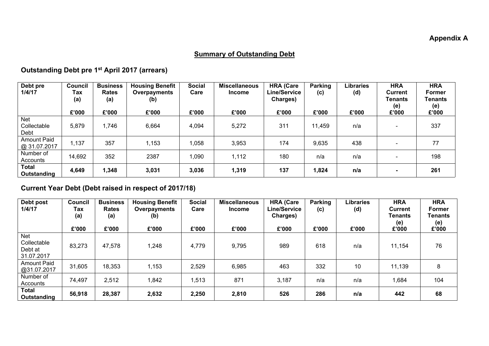## **Summary of Outstanding Debt**

## **Outstanding Debt pre 1 st April 2017 (arrears)**

| Debt pre<br>1/4/17                 | <b>Council</b><br>Tax<br>(a)<br>£'000 | <b>Business</b><br><b>Rates</b><br>(a)<br>£'000 | <b>Housing Benefit</b><br>Overpayments<br>(b)<br>£'000 | <b>Social</b><br>Care<br>£'000 | <b>Miscellaneous</b><br><b>Income</b><br>£'000 | <b>HRA (Care</b><br><b>Line/Service</b><br><b>Charges)</b><br>£'000 | Parking<br>(c)<br>£'000 | Libraries<br>(d)<br>£'000 | <b>HRA</b><br><b>Current</b><br>Tenants<br>(e)<br>£'000 | <b>HRA</b><br><b>Former</b><br>Tenants<br>(e)<br>£'000 |
|------------------------------------|---------------------------------------|-------------------------------------------------|--------------------------------------------------------|--------------------------------|------------------------------------------------|---------------------------------------------------------------------|-------------------------|---------------------------|---------------------------------------------------------|--------------------------------------------------------|
| Net<br>Collectable<br>Debt         | 5,879                                 | 1,746                                           | 6,664                                                  | 4,094                          | 5,272                                          | 311                                                                 | 11,459                  | n/a                       | $\overline{\phantom{a}}$                                | 337                                                    |
| <b>Amount Paid</b><br>@ 31.07.2017 | 1,137                                 | 357                                             | 1,153                                                  | 058                            | 3,953                                          | 174                                                                 | 9,635                   | 438                       | $\overline{\phantom{a}}$                                | 77                                                     |
| Number of<br>Accounts              | 14,692                                | 352                                             | 2387                                                   | ,090                           | 1,112                                          | 180                                                                 | n/a                     | n/a                       | $\overline{\phantom{a}}$                                | 198                                                    |
| <b>Total</b><br>Outstanding        | 4,649                                 | 1,348                                           | 3,031                                                  | 3,036                          | 1,319                                          | 137                                                                 | 1,824                   | n/a                       | $\blacksquare$                                          | 261                                                    |

## **Current Year Debt (Debt raised in respect of 2017/18)**

| Debt post<br>1/4/17                         | <b>Council</b><br>Tax<br>(a)<br>£'000 | <b>Business</b><br><b>Rates</b><br>(a)<br>£'000 | <b>Housing Benefit</b><br>Overpayments<br>(b)<br>£'000 | <b>Social</b><br>Care<br>£'000 | <b>Miscellaneous</b><br><b>Income</b><br>£'000 | <b>HRA (Care</b><br><b>Line/Service</b><br>Charges)<br>£'000 | Parking<br>(c)<br>£'000 | Libraries<br>(d)<br>£'000 | <b>HRA</b><br>Current<br><b>Tenants</b><br>(e)<br>£'000 | <b>HRA</b><br>Former<br>Tenants<br>(e)<br>£'000 |
|---------------------------------------------|---------------------------------------|-------------------------------------------------|--------------------------------------------------------|--------------------------------|------------------------------------------------|--------------------------------------------------------------|-------------------------|---------------------------|---------------------------------------------------------|-------------------------------------------------|
| Net<br>Collectable<br>Debt at<br>31.07.2017 | 83,273                                | 47,578                                          | 1,248                                                  | 4,779                          | 9,795                                          | 989                                                          | 618                     | n/a                       | 11,154                                                  | 76                                              |
| <b>Amount Paid</b><br>@31.07.2017           | 31,605                                | 18,353                                          | 1,153                                                  | 2,529                          | 6,985                                          | 463                                                          | 332                     | 10                        | 11,139                                                  | 8                                               |
| Number of<br>Accounts                       | 74,497                                | 2,512                                           | 1,842                                                  | 1,513                          | 871                                            | 3,187                                                        | n/a                     | n/a                       | 1,684                                                   | 104                                             |
| <b>Total</b><br>Outstanding                 | 56,918                                | 28,387                                          | 2,632                                                  | 2,250                          | 2,810                                          | 526                                                          | 286                     | n/a                       | 442                                                     | 68                                              |